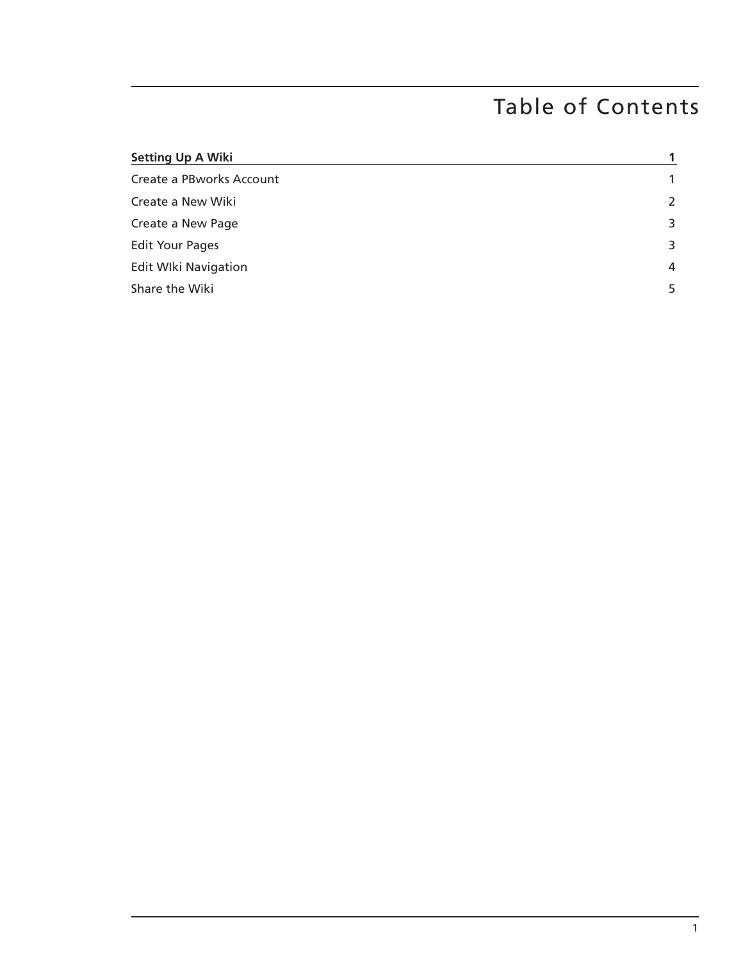# Table of Contents

| <b>Setting Up A Wiki</b>    |                |
|-----------------------------|----------------|
| Create a PBworks Account    | $\mathbf{1}$   |
| Create a New Wiki           | $\overline{2}$ |
| Create a New Page           | 3              |
| <b>Edit Your Pages</b>      | 3              |
| <b>Edit WIki Navigation</b> | $\overline{4}$ |
| Share the Wiki              | 5              |
|                             |                |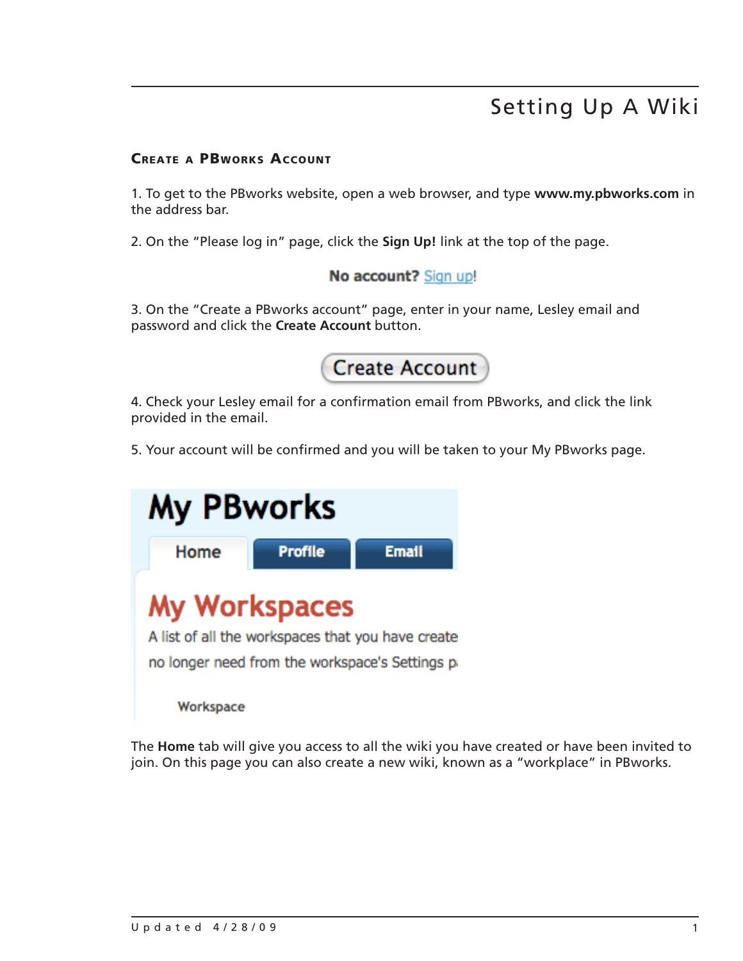# Setting Up A Wiki

#### Create a PBworks Account

1. To get to the PBworks website, open a web browser, and type **www.my.pbworks.com** in the address bar.

2. On the "Please log in" page, click the **Sign Up!** link at the top of the page.

### No account? Sign up!

3. On the "Create a PBworks account" page, enter in your name, Lesley email and password and click the **Create Account** button.



4. Check your Lesley email for a confirmation email from PBworks, and click the link provided in the email.

5. Your account will be confirmed and you will be taken to your My PBworks page.

| <b>My PBworks</b> |                      |                                                                                                     |  |
|-------------------|----------------------|-----------------------------------------------------------------------------------------------------|--|
| Home              | <b>Profile</b>       | <b>Email</b>                                                                                        |  |
|                   | <b>My Workspaces</b> | A list of all the workspaces that you have create<br>no longer need from the workspace's Settings p |  |
| Workspace         |                      |                                                                                                     |  |

The **Home** tab will give you access to all the wiki you have created or have been invited to join. On this page you can also create a new wiki, known as a "workplace" in PBworks.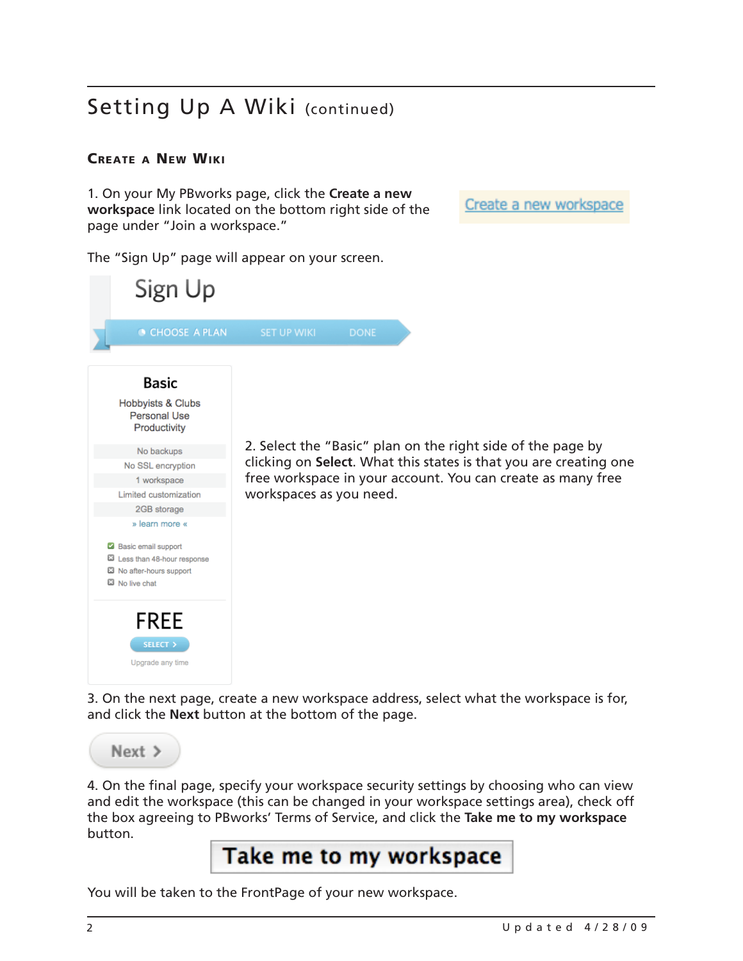### Create a New Wiki

1. On your My PBworks page, click the **Create a new workspace** link located on the bottom right side of the page under "Join a workspace."

Create a new workspace

The "Sign Up" page will appear on your screen.

| Sign Up                                                                                                                                                                |                                                                                                                                  |
|------------------------------------------------------------------------------------------------------------------------------------------------------------------------|----------------------------------------------------------------------------------------------------------------------------------|
| CHOOSE A PLAN                                                                                                                                                          | <b>SET UP WIKI</b><br><b>DONE</b>                                                                                                |
| <b>Basic</b><br>Hobbyists & Clubs<br><b>Personal Use</b><br>Productivity                                                                                               |                                                                                                                                  |
| No backups                                                                                                                                                             | 2. Select the "Basic" plan on the right side of the page by<br>clicking on Select. What this states is that you are creating one |
| No SSL encryption                                                                                                                                                      |                                                                                                                                  |
| 1 workspace                                                                                                                                                            | free workspace in your account. You can create as many free                                                                      |
| Limited customization                                                                                                                                                  | workspaces as you need.                                                                                                          |
| 2GB storage                                                                                                                                                            |                                                                                                                                  |
| » learn more «<br>Basic email support<br>Less than 48-hour response<br>No after-hours support<br>No live chat<br><b>FREE</b><br><b>SELECT &gt;</b><br>Upgrade any time |                                                                                                                                  |

3. On the next page, create a new workspace address, select what the workspace is for, and click the **Next** button at the bottom of the page.



4. On the final page, specify your workspace security settings by choosing who can view and edit the workspace (this can be changed in your workspace settings area), check off the box agreeing to PBworks' Terms of Service, and click the **Take me to my workspace** button.

# Take me to my workspace

You will be taken to the FrontPage of your new workspace.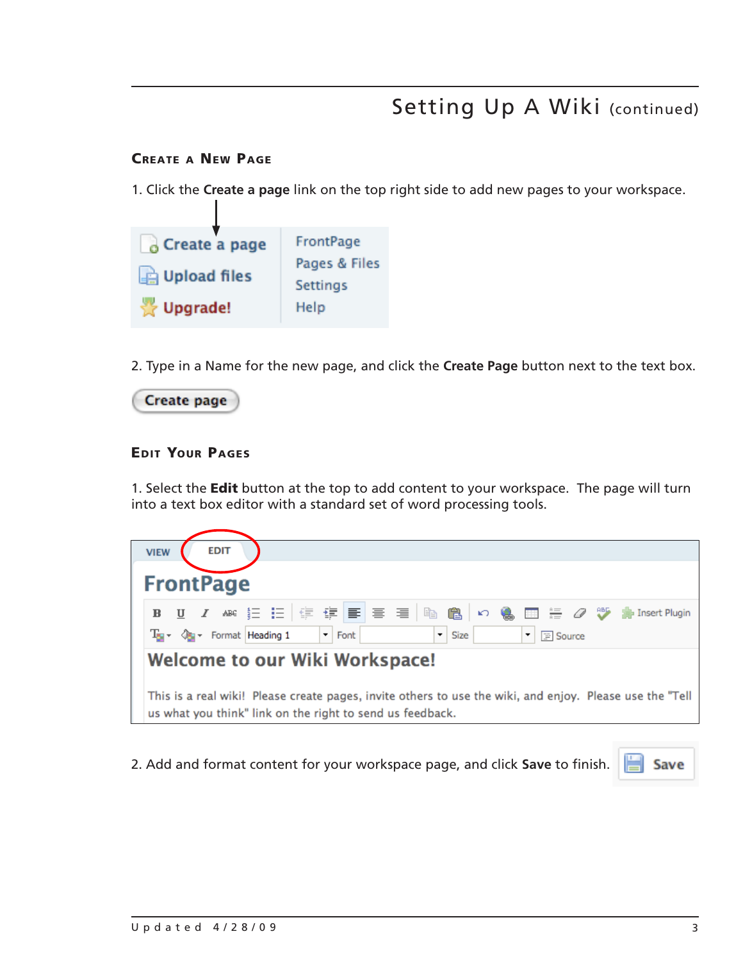#### Create a New Page

1. Click the **Create a page** link on the top right side to add new pages to your workspace.



2. Type in a Name for the new page, and click the **Create Page** button next to the text box.



#### Edit Your Pages

1. Select the **Edit** button at the top to add content to your workspace. The page will turn into a text box editor with a standard set of word processing tools.

| <b>EDIT</b><br><b>VIEW</b>                                                                                                                 |  |  |
|--------------------------------------------------------------------------------------------------------------------------------------------|--|--|
|                                                                                                                                            |  |  |
| <b>FrontPage</b>                                                                                                                           |  |  |
|                                                                                                                                            |  |  |
| B U I ARE 扫扫信使信号 三目 医高い 色田 海 Q 炒 phinsert Plugin                                                                                           |  |  |
| $\blacksquare$ Font<br>$\bullet$<br>$T_{\text{eff}}$ $\sim$ $\sqrt{t_{\text{eff}}}$ Format Heading 1<br>$\vert$<br><b>F</b> Source<br>Size |  |  |
| Welcome to our Wiki Workspace!                                                                                                             |  |  |
| This is a real wiki! Please create pages, invite others to use the wiki, and enjoy. Please use the "Tell                                   |  |  |
| us what you think" link on the right to send us feedback.                                                                                  |  |  |

**E** Save 2. Add and format content for your workspace page, and click **Save** to finish.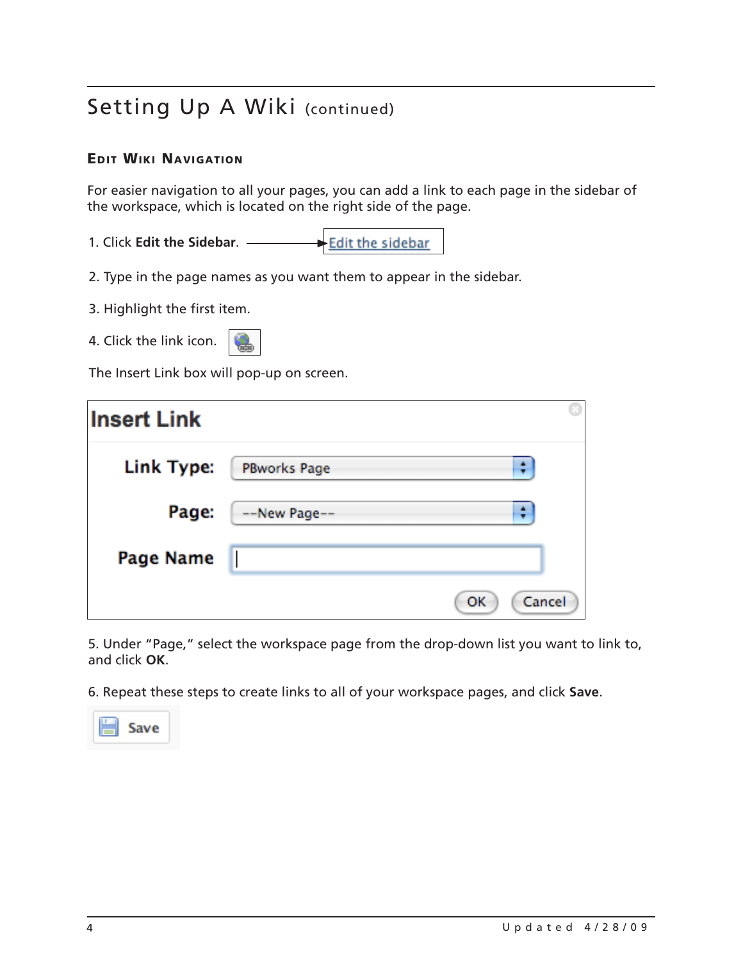### Edit Wiki Navigation

For easier navigation to all your pages, you can add a link to each page in the sidebar of the workspace, which is located on the right side of the page.

- 1. Click **Edit the Sidebar**. Edit the sidebar
- 2. Type in the page names as you want them to appear in the sidebar.
- 3. Highlight the first item.
- 4. Click the link icon.
- 

The Insert Link box will pop-up on screen.

| <b>Insert Link</b> |                     |  |
|--------------------|---------------------|--|
| Link Type:         | <b>PBworks Page</b> |  |
| Page:              | --New Page--        |  |
| <b>Page Name</b>   |                     |  |
|                    | Cancel<br>OK        |  |

5. Under "Page," select the workspace page from the drop-down list you want to link to, and click **OK**.

6. Repeat these steps to create links to all of your workspace pages, and click **Save**.